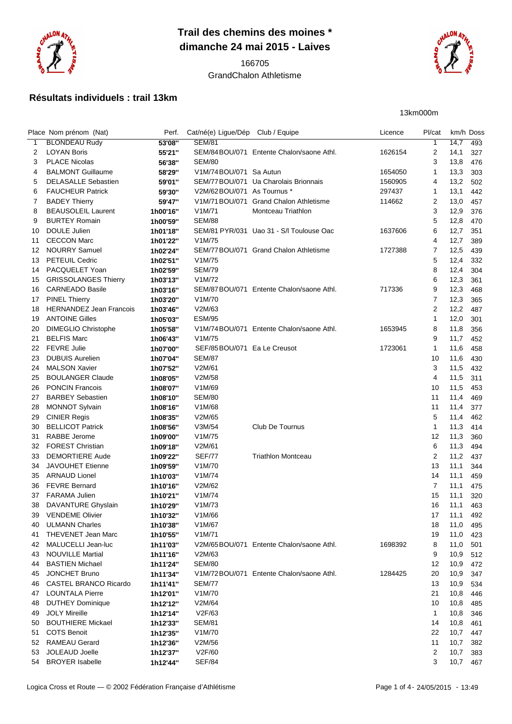

## **Trail des chemins des moines \* dimanche 24 mai 2015 - Laives**

## GrandChalon Athletisme

Place Nom prénom (Nat) Perf. Cat/né(e) Ligue/Dép Club / Equipe Licence Pl/cat km/h Doss

 BLONDEAU Rudy **53'08''** SEM/81 1 14,7 493 LOYAN Boris **55'21''** SEM/84BOU/071 Entente Chalon/saone Athl. 1626154 2 14,1 327

 FARAMA Julien **1h10'21''** V1M/74 15 11,1 320 DAVANTURE Ghyslain **1h10'29''** V1M/73 16 11,1 463 VENDEME Olivier **1h10'32''** V1M/66 17 11,1 492 ULMANN Charles **1h10'38''** V1M/67 18 11,0 495 THEVENET Jean Marc **1h10'55''** V1M/71 19 11,0 423 MALUCELLI Jean-luc **1h11'03''** V2M/65BOU/071 Entente Chalon/saone Athl. 1698392 8 11,0 501 NOUVILLE Martial **1h11'16''** V2M/63 9 10,9 512 BASTIEN Michael **1h11'24''** SEM/80 12 10,9 472 JONCHET Bruno **1h11'34''** V1M/72BOU/071 Entente Chalon/saone Athl. 1284425 20 10,9 347 CASTEL BRANCO Ricardo **1h11'41''** SEM/77 13 10,9 534 LOUNTALA Pierre **1h12'01''** V1M/70 21 10,8 446 DUTHEY Dominique **1h12'12''** V2M/64 10 10,8 485 JOLY Mireille **1h12'14''** V2F/63 1 10,8 346 BOUTHIERE Mickael **1h12'33''** SEM/81 14 10,8 461 COTS Benoit **1h12'35''** V1M/70 22 10,7 447 RAMEAU Gerard **1h12'36''** V2M/56 11 10,7 382 JOLEAUD Joelle **1h12'37''** V2F/60 2 10,7 383



13km000m

## **Résultats individuels : trail 13km**

| 3  | <b>PLACE Nicolas</b>           | 56'38"   | <b>SEM/80</b>               |                                          |         | 3  | 13,8 | 476 |
|----|--------------------------------|----------|-----------------------------|------------------------------------------|---------|----|------|-----|
| 4  | <b>BALMONT Guillaume</b>       | 58'29"   | V1M/74BOU/071 Sa Autun      |                                          | 1654050 | 1  | 13,3 | 303 |
| 5  | <b>DELASALLE Sebastien</b>     | 59'01"   |                             | SEM/77 BOU/071 Ua Charolais Brionnais    | 1560905 | 4  | 13,2 | 502 |
| 6  | <b>FAUCHEUR Patrick</b>        | 59'30"   | V2M/62BOU/071 As Tournus *  |                                          | 297437  | 1  | 13,1 | 442 |
| 7  | <b>BADEY Thierry</b>           | 59'47"   | V1M/71BOU/071               | <b>Grand Chalon Athletisme</b>           | 114662  | 2  | 13,0 | 457 |
| 8  | <b>BEAUSOLEIL Laurent</b>      | 1h00'16" | V1M/71                      | Montceau Triathlon                       |         | 3  | 12,9 | 376 |
| 9  | <b>BURTEY Romain</b>           | 1h00'59" | <b>SEM/88</b>               |                                          |         | 5  | 12,8 | 470 |
| 10 | DOULE Julien                   | 1h01'18" |                             | SEM/81 PYR/031 Uao 31 - S/I Toulouse Oac | 1637606 | 6  | 12,7 | 351 |
| 11 | <b>CECCON Marc</b>             | 1h01'22" | V1M/75                      |                                          |         | 4  | 12,7 | 389 |
| 12 | <b>NOURRY Samuel</b>           | 1h02'24" |                             | SEM/77 BOU/071 Grand Chalon Athletisme   | 1727388 | 7  | 12,5 | 439 |
| 13 | <b>PETEUIL Cedric</b>          | 1h02'51" | V1M/75                      |                                          |         | 5  | 12,4 | 332 |
| 14 | PACQUELET Yoan                 | 1h02'59" | <b>SEM/79</b>               |                                          |         | 8  | 12,4 | 304 |
| 15 | <b>GRISSOLANGES Thierry</b>    | 1h03'13" | V1M/72                      |                                          |         | 6  | 12,3 | 361 |
| 16 | <b>CARNEADO Basile</b>         | 1h03'16" |                             | SEM/87BOU/071 Entente Chalon/saone Athl. | 717336  | 9  | 12,3 | 468 |
| 17 | <b>PINEL Thierry</b>           | 1h03'20" | V1M/70                      |                                          |         | 7  | 12,3 | 365 |
| 18 | <b>HERNANDEZ Jean Francois</b> | 1h03'46" | V2M/63                      |                                          |         | 2  | 12,2 | 487 |
| 19 | <b>ANTOINE Gilles</b>          | 1h05'03" | <b>ESM/95</b>               |                                          |         | 1  | 12,0 | 301 |
| 20 | <b>DIMEGLIO Christophe</b>     | 1h05'58" |                             | V1M/74BOU/071 Entente Chalon/saone Athl. | 1653945 | 8  | 11,8 | 356 |
| 21 | <b>BELFIS Marc</b>             | 1h06'43" | V1M/75                      |                                          |         | 9  | 11,7 | 452 |
| 22 | <b>FEVRE Julie</b>             | 1h07'00" | SEF/85BOU/071 Ea Le Creusot |                                          | 1723061 | 1  | 11,6 | 458 |
| 23 | <b>DUBUIS Aurelien</b>         | 1h07'04" | <b>SEM/87</b>               |                                          |         | 10 | 11,6 | 430 |
| 24 | <b>MALSON Xavier</b>           | 1h07'52" | V2M/61                      |                                          |         | 3  | 11,5 | 432 |
| 25 | <b>BOULANGER Claude</b>        | 1h08'05" | V2M/58                      |                                          |         | 4  | 11,5 | 311 |
| 26 | <b>PONCIN Francois</b>         | 1h08'07" | V1M/69                      |                                          |         | 10 | 11,5 | 453 |
| 27 | <b>BARBEY Sebastien</b>        | 1h08'10" | <b>SEM/80</b>               |                                          |         | 11 | 11,4 | 469 |
| 28 | <b>MONNOT Sylvain</b>          | 1h08'16" | V1M/68                      |                                          |         | 11 | 11,4 | 377 |
| 29 | <b>CINIER Regis</b>            | 1h08'35" | V2M/65                      |                                          |         | 5  | 11,4 | 462 |
| 30 | <b>BELLICOT Patrick</b>        | 1h08'56" | V3M/54                      | Club De Tournus                          |         | 1  | 11,3 | 414 |
| 31 | <b>RABBE Jerome</b>            | 1h09'00" | V1M/75                      |                                          |         | 12 | 11,3 | 360 |
| 32 | <b>FOREST Christian</b>        | 1h09'18" | V2M/61                      |                                          |         | 6  | 11,3 | 494 |
| 33 | <b>DEMORTIERE Aude</b>         | 1h09'22" | <b>SEF/77</b>               | <b>Triathlon Montceau</b>                |         | 2  | 11,2 | 437 |
| 34 | <b>JAVOUHET Etienne</b>        | 1h09'59" | V1M/70                      |                                          |         | 13 | 11,1 | 344 |
| 35 | <b>ARNAUD Lionel</b>           | 1h10'03" | V1M/74                      |                                          |         | 14 | 11,1 | 459 |
| 36 | <b>FEVRE Bernard</b>           | 1h10'16" | V2M/62                      |                                          |         | 7  | 11,1 | 475 |

 BROYER Isabelle **1h12'44''** SEF/84 3 10,7 467 Logica Cross et Route — © 2002 Fédération Française d'Athlétisme **Page 1 of 4-24/05/2015** - 13:49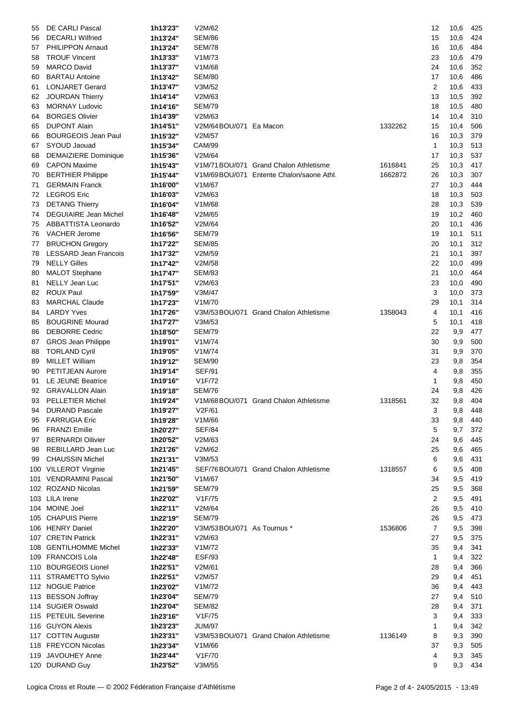| 55 | DE CARLI Pascal              | 1h13'23" | V2M/62                     |                                          |         | 12             | 10,6 | 425     |
|----|------------------------------|----------|----------------------------|------------------------------------------|---------|----------------|------|---------|
| 56 | <b>DECARLI Wilfried</b>      | 1h13'24" | <b>SEM/86</b>              |                                          |         | 15             | 10,6 | 424     |
| 57 | PHILIPPON Arnaud             | 1h13'24" | <b>SEM/78</b>              |                                          |         | 16             | 10,6 | 484     |
| 58 | <b>TROUF Vincent</b>         | 1h13'33" | V1M/73                     |                                          |         | 23             | 10,6 | 479     |
| 59 | <b>MARCO David</b>           | 1h13'37" | V1M/68                     |                                          |         | 24             | 10,6 | 352     |
| 60 | <b>BARTAU Antoine</b>        | 1h13'42" | <b>SEM/80</b>              |                                          |         | 17             | 10,6 | 486     |
| 61 | <b>LONJARET Gerard</b>       | 1h13'47" | V3M/52                     |                                          |         | 2              | 10,6 | 433     |
|    |                              |          |                            |                                          |         |                |      |         |
| 62 | <b>JOURDAN Thierry</b>       | 1h14'14" | V2M/63                     |                                          |         | 13             | 10,5 | 392     |
| 63 | <b>MORNAY Ludovic</b>        | 1h14'16" | <b>SEM/79</b>              |                                          |         | 18             | 10,5 | 480     |
| 64 | <b>BORGES Olivier</b>        | 1h14'39" | V2M/63                     |                                          |         | 14             | 10,4 | 310     |
| 65 | <b>DUPONT Alain</b>          | 1h14'51" | V2M/64BOU/071 Ea Macon     |                                          | 1332262 | 15             | 10,4 | 506     |
| 66 | <b>BOURGEOIS Jean Paul</b>   | 1h15'32" | V2M/57                     |                                          |         | 16             | 10,3 | 379     |
| 67 | SYOUD Jaouad                 | 1h15'34" | <b>CAM/99</b>              |                                          |         | 1              | 10,3 | 513     |
| 68 | <b>DEMAIZIERE Dominique</b>  | 1h15'36" | V2M/64                     |                                          |         | 17             | 10,3 | 537     |
| 69 | <b>CAPON Maxime</b>          | 1h15'43" |                            | V1M/71BOU/071 Grand Chalon Athletisme    | 1616841 | 25             | 10,3 | 417     |
| 70 | <b>BERTHIER Philippe</b>     | 1h15'44" |                            | V1M/69BOU/071 Entente Chalon/saone Athl. | 1662872 | 26             | 10,3 | 307     |
| 71 | <b>GERMAIN Franck</b>        | 1h16'00" | V1M/67                     |                                          |         | 27             | 10,3 | 444     |
|    | 72 LEGROS Eric               | 1h16'03" | V2M/63                     |                                          |         | 18             | 10,3 | 503     |
| 73 | <b>DETANG Thierry</b>        | 1h16'04" | V1M/68                     |                                          |         | 28             | 10,3 | 539     |
|    | <b>DEGUIAIRE Jean Michel</b> | 1h16'48" | V2M/65                     |                                          |         | 19             |      | 460     |
| 74 | ABBATTISTA Leonardo          |          |                            |                                          |         |                | 10,2 |         |
| 75 |                              | 1h16'52" | V2M/64                     |                                          |         | 20             | 10,1 | 436     |
| 76 | <b>VACHER Jerome</b>         | 1h16'56" | <b>SEM/79</b>              |                                          |         | 19             | 10,1 | 511     |
| 77 | <b>BRUCHON Gregory</b>       | 1h17'22" | <b>SEM/85</b>              |                                          |         | 20             | 10,1 | 312     |
| 78 | <b>LESSARD Jean Francois</b> | 1h17'32" | V2M/59                     |                                          |         | 21             | 10,1 | 397     |
| 79 | <b>NELLY Gilles</b>          | 1h17'42" | V2M/58                     |                                          |         | 22             | 10,0 | 499     |
| 80 | MALOT Stephane               | 1h17'47" | <b>SEM/83</b>              |                                          |         | 21             | 10,0 | 464     |
| 81 | NELLY Jean Luc               | 1h17'51" | V2M/63                     |                                          |         | 23             | 10,0 | 490     |
| 82 | <b>ROUX Paul</b>             | 1h17'59" | V3M/47                     |                                          |         | 3              | 10,0 | 373     |
| 83 | <b>MARCHAL Claude</b>        | 1h17'23" | V1M/70                     |                                          |         | 29             | 10,1 | 314     |
| 84 | <b>LARDY Yves</b>            | 1h17'26" |                            | V3M/53BOU/071 Grand Chalon Athletisme    | 1358043 | 4              | 10,1 | 416     |
| 85 | <b>BOUGRINE Mourad</b>       | 1h17'27" | V3M/53                     |                                          |         | 5              | 10,1 | 418     |
| 86 | <b>DEBORRE Cedric</b>        | 1h18'50" | <b>SEM/79</b>              |                                          |         | 22             | 9,9  | 477     |
| 87 | <b>GROS Jean Philippe</b>    | 1h19'01" | V1M/74                     |                                          |         | 30             | 9,9  | 500     |
| 88 | <b>TORLAND Cyril</b>         | 1h19'05" | V1M/74                     |                                          |         | 31             | 9,9  | 370     |
| 89 | <b>MILLET William</b>        | 1h19'12" | <b>SEM/90</b>              |                                          |         | 23             | 9,8  | 354     |
|    | PETITJEAN Aurore             |          | <b>SEF/91</b>              |                                          |         | 4              |      | 355     |
| 90 |                              | 1h19'14" |                            |                                          |         |                | 9,8  |         |
| 91 | LE JEUNE Beatrice            | 1h19'16" | V1F/72                     |                                          |         | 1              | 9,8  | 450     |
| 92 | <b>GRAVALLON Alain</b>       | 1h19'18" | SEM/76                     |                                          |         | 24             | 9,8  | 426     |
| 93 | <b>PELLETIER Michel</b>      | 1h19'24" |                            | V1M/68BOU/071 Grand Chalon Athletisme    | 1318561 | 32             | 9,8  | 404     |
|    | 94 DURAND Pascale            | 1h19'27" | V2F/61                     |                                          |         | 3              |      | 9,8 448 |
| 95 | <b>FARRUGIA Eric</b>         | 1h19'28" | V1M/66                     |                                          |         | 33             | 9,8  | 440     |
| 96 | <b>FRANZI Emilie</b>         | 1h20'27" | <b>SEF/84</b>              |                                          |         | 5              | 9,7  | 372     |
| 97 | <b>BERNARDI Oilivier</b>     | 1h20'52" | V2M/63                     |                                          |         | 24             | 9,6  | 445     |
| 98 | REBILLARD Jean Luc           | 1h21'26" | V2M/62                     |                                          |         | 25             | 9,6  | 465     |
| 99 | <b>CHAUSSIN Michel</b>       | 1h21'31" | V3M/53                     |                                          |         | 6              | 9,6  | 431     |
|    | 100 VILLEROT Virginie        | 1h21'45" |                            | SEF/76BOU/071 Grand Chalon Athletisme    | 1318557 | 6              | 9,5  | 408     |
|    | 101 VENDRAMINI Pascal        | 1h21'50" | V1M/67                     |                                          |         | 34             | 9,5  | 419     |
|    | 102 ROZAND Nicolas           | 1h21'59" | SEM/79                     |                                          |         | 25             | 9,5  | 368     |
|    | 103 LILA Irene               | 1h22'02" | V1F/75                     |                                          |         | 2              | 9,5  | 491     |
|    | 104 MOINE Joel               | 1h22'11" | V2M/64                     |                                          |         | 26             | 9,5  | 410     |
|    | 105 CHAPUIS Pierre           | 1h22'19" | <b>SEM/79</b>              |                                          |         | 26             | 9,5  | 473     |
|    | 106 HENRY Daniel             | 1h22'20" | V3M/53BOU/071 As Tournus * |                                          | 1536806 | $\overline{7}$ |      | 398     |
|    |                              |          |                            |                                          |         |                | 9,5  |         |
|    | 107 CRETIN Patrick           | 1h22'31" | V2M/63                     |                                          |         | 27             | 9,5  | 375     |
|    | 108 GENTILHOMME Michel       | 1h22'33" | V1M/72                     |                                          |         | 35             | 9,4  | 341     |
|    | 109 FRANCOIS Lola            | 1h22'48" | <b>ESF/93</b>              |                                          |         | 1              | 9,4  | 322     |
|    | 110 BOURGEOIS Lionel         | 1h22'51" | V2M/61                     |                                          |         | 28             | 9,4  | 366     |
|    | 111 STRAMETTO Sylvio         | 1h22'51" | V2M/57                     |                                          |         | 29             | 9,4  | 451     |
|    | 112 NOGUE Patrice            | 1h23'02" | V1M/72                     |                                          |         | 36             | 9,4  | 443     |
|    | 113 BESSON Joffray           | 1h23'04" | SEM/79                     |                                          |         | 27             | 9,4  | 510     |
|    | 114 SUGIER Oswald            | 1h23'04" | SEM/82                     |                                          |         | 28             | 9,4  | 371     |
|    | 115 PETEUIL Severine         | 1h23'16" | V1F/75                     |                                          |         | 3              | 9,4  | 333     |
|    | 116 GUYON Alexis             | 1h23'23" | <b>JUM/97</b>              |                                          |         | 1              | 9,4  | 342     |
|    | 117 COTTIN Auguste           | 1h23'31" |                            | V3M/53BOU/071 Grand Chalon Athletisme    | 1136149 | 8              | 9,3  | 390     |
|    | 118 FREYCON Nicolas          | 1h23'34" | V1M/66                     |                                          |         | 37             | 9,3  | 505     |
|    | 119 JAVOUHEY Anne            | 1h23'44" | V1F/70                     |                                          |         | 4              | 9,3  | 345     |
|    | 120 DURAND Guy               | 1h23'52" | V3M/55                     |                                          |         | 9              | 9,3  | 434     |
|    |                              |          |                            |                                          |         |                |      |         |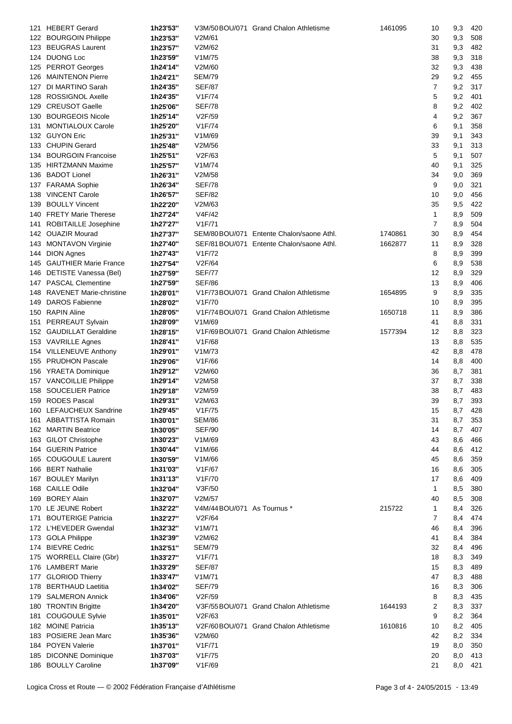| 121 | <b>HEBERT Gerard</b>        | 1h23'53" |                            | V3M/50BOU/071 Grand Chalon Athletisme     | 1461095 | 10             | 9,3 | 420     |
|-----|-----------------------------|----------|----------------------------|-------------------------------------------|---------|----------------|-----|---------|
|     | 122 BOURGOIN Philippe       | 1h23'53" | V2M/61                     |                                           |         | 30             | 9,3 | 508     |
|     | 123 BEUGRAS Laurent         | 1h23'57" | V2M/62                     |                                           |         | 31             | 9,3 | 482     |
|     | 124 DUONG Loc               | 1h23'59" | V1M/75                     |                                           |         | 38             | 9,3 | 318     |
|     |                             |          |                            |                                           |         |                |     |         |
|     | 125 PERROT Georges          | 1h24'14" | V2M/60                     |                                           |         | 32             | 9,3 | 438     |
| 126 | <b>MAINTENON Pierre</b>     | 1h24'21" | <b>SEM/79</b>              |                                           |         | 29             | 9,2 | 455     |
|     | 127 DI MARTINO Sarah        | 1h24'35" | <b>SEF/87</b>              |                                           |         | $\overline{7}$ | 9,2 | 317     |
|     | 128 ROSSIGNOL Axelle        | 1h24'35" | V1F/74                     |                                           |         | 5              | 9,2 | 401     |
|     | 129 CREUSOT Gaelle          | 1h25'06" | <b>SEF/78</b>              |                                           |         | 8              | 9,2 | 402     |
| 130 | <b>BOURGEOIS Nicole</b>     | 1h25'14" | V2F/59                     |                                           |         | 4              | 9,2 | 367     |
| 131 | <b>MONTIALOUX Carole</b>    | 1h25'20" | V1F/74                     |                                           |         | 6              | 9,1 | 358     |
|     | 132 GUYON Eric              |          |                            |                                           |         |                |     |         |
|     |                             | 1h25'31" | V1M/69                     |                                           |         | 39             | 9,1 | 343     |
|     | 133 CHUPIN Gerard           | 1h25'48" | V2M/56                     |                                           |         | 33             | 9,1 | 313     |
|     | 134 BOURGOIN Francoise      | 1h25'51" | V2F/63                     |                                           |         | 5              | 9,1 | 507     |
|     | 135 HIRTZMANN Maxime        | 1h25'57" | V1M/74                     |                                           |         | 40             | 9,1 | 325     |
| 136 | <b>BADOT Lionel</b>         | 1h26'31" | V2M/58                     |                                           |         | 34             | 9,0 | 369     |
|     | 137 FARAMA Sophie           | 1h26'34" | SEF/78                     |                                           |         | 9              | 9,0 | 321     |
| 138 | <b>VINCENT Carole</b>       | 1h26'57" | <b>SEF/82</b>              |                                           |         | 10             | 9,0 | 456     |
|     |                             |          |                            |                                           |         |                |     |         |
| 139 | <b>BOULLY Vincent</b>       | 1h22'20" | V2M/63                     |                                           |         | 35             | 9,5 | 422     |
|     | 140 FRETY Marie Therese     | 1h27'24" | V4F/42                     |                                           |         | 1              | 8,9 | 509     |
| 141 | ROBITAILLE Josephine        | 1h27'27" | V1F/71                     |                                           |         | 7              | 8,9 | 504     |
|     | 142 OUAZIR Mourad           | 1h27'37" |                            | SEM/80BOU/071 Entente Chalon/saone Athl.  | 1740861 | 30             | 8,9 | 454     |
|     | 143 MONTAVON Virginie       | 1h27'40" |                            | SEF/81 BOU/071 Entente Chalon/saone Athl. | 1662877 | 11             | 8,9 | 328     |
|     | 144 DION Agnes              | 1h27'43" | V1F/72                     |                                           |         | 8              | 8,9 | 399     |
|     | 145 GAUTHIER Marie France   | 1h27'54" | V2F/64                     |                                           |         | 6              | 8,9 | 538     |
|     |                             |          |                            |                                           |         |                |     |         |
|     | 146 DETISTE Vanessa (Bel)   | 1h27'59" | <b>SEF/77</b>              |                                           |         | 12             | 8,9 | 329     |
|     | 147 PASCAL Clementine       | 1h27'59" | SEF/86                     |                                           |         | 13             | 8,9 | 406     |
|     | 148 RAVENET Marie-christine | 1h28'01" |                            | V1F/73BOU/071 Grand Chalon Athletisme     | 1654895 | 9              | 8,9 | 335     |
| 149 | <b>DAROS Fabienne</b>       | 1h28'02" | V <sub>1</sub> F/70        |                                           |         | 10             | 8,9 | 395     |
|     | 150 RAPIN Aline             | 1h28'05" |                            | V1F/74BOU/071 Grand Chalon Athletisme     | 1650718 | 11             | 8,9 | 386     |
| 151 | PERREAUT Sylvain            | 1h28'09" | V1M/69                     |                                           |         | 41             | 8,8 | 331     |
|     | 152 GAUDILLAT Geraldine     | 1h28'15" |                            | V1F/69BOU/071 Grand Chalon Athletisme     | 1577394 | 12             | 8,8 | 323     |
|     | 153 VAVRILLE Agnes          | 1h28'41" | V1F/68                     |                                           |         | 13             | 8,8 | 535     |
|     |                             |          |                            |                                           |         |                |     |         |
|     | 154 VILLENEUVE Anthony      | 1h29'01" | V1M/73                     |                                           |         | 42             | 8,8 | 478     |
|     | 155 PRUDHON Pascale         | 1h29'06" | V1F/66                     |                                           |         | 14             | 8,8 | 400     |
|     | 156 YRAETA Dominique        | 1h29'12" | V2M/60                     |                                           |         | 36             | 8,7 | 381     |
|     | 157 VANCOILLIE Philippe     | 1h29'14" | V2M/58                     |                                           |         | 37             | 8,7 | 338     |
|     | 158 SOUCELIER Patrice       | 1h29'18" | V2M/59                     |                                           |         | 38             | 8,7 | 483     |
|     | 159 RODES Pascal            | 1h29'31" | V2M/63                     |                                           |         | 39             | 8,7 | 393     |
|     | 160 LEFAUCHEUX Sandrine     | 1h29'45" | V1F/75                     |                                           |         | 15             |     | 8,7 428 |
|     |                             |          |                            |                                           |         |                |     |         |
|     | 161 ABBATTISTA Romain       | 1h30'01" | SEM/86                     |                                           |         | 31             | 8,7 | 353     |
|     | 162 MARTIN Beatrice         | 1h30'05" | <b>SEF/90</b>              |                                           |         | 14             | 8,7 | 407     |
|     | 163 GILOT Christophe        | 1h30'23" | V1M/69                     |                                           |         | 43             | 8,6 | 466     |
|     | 164 GUERIN Patrice          | 1h30'44" | V1M/66                     |                                           |         | 44             | 8,6 | 412     |
|     | 165 COUGOULE Laurent        | 1h30'59" | V1M/66                     |                                           |         | 45             | 8,6 | 359     |
|     | 166 BERT Nathalie           | 1h31'03" | V1F/67                     |                                           |         | 16             | 8,6 | 305     |
|     | 167 BOULEY Marilyn          | 1h31'13" | V1F/70                     |                                           |         | 17             | 8,6 | 409     |
|     | 168 CAILLE Odile            | 1h32'04" | V3F/50                     |                                           |         | 1              | 8,5 | 380     |
|     | 169 BOREY Alain             |          | V2M/57                     |                                           |         | 40             |     | 308     |
|     |                             | 1h32'07" |                            |                                           |         |                | 8,5 |         |
|     | 170 LE JEUNE Robert         | 1h32'22" | V4M/44BOU/071 As Tournus * |                                           | 215722  | 1              | 8,4 | 326     |
|     | 171 BOUTERIGE Patricia      | 1h32'27" | V2F/64                     |                                           |         | 7              | 8,4 | 474     |
|     | 172 L'HEVEDER Gwendal       | 1h32'32" | V <sub>1</sub> M/71        |                                           |         | 46             | 8,4 | 396     |
|     | 173 GOLA Philippe           | 1h32'39" | V2M/62                     |                                           |         | 41             | 8,4 | 384     |
|     | 174 BIEVRE Cedric           | 1h32'51" | <b>SEM/79</b>              |                                           |         | 32             | 8,4 | 496     |
|     | 175 WORRELL Claire (Gbr)    | 1h33'27" | V1F/71                     |                                           |         | 18             | 8,3 | 349     |
|     | 176 LAMBERT Marie           | 1h33'29" | <b>SEF/87</b>              |                                           |         | 15             | 8,3 | 489     |
|     |                             | 1h33'47" | V1M/71                     |                                           |         | 47             |     | 488     |
|     | 177 GLORIOD Thierry         |          |                            |                                           |         |                | 8,3 |         |
|     | 178 BERTHAUD Laetitia       | 1h34'02" | <b>SEF/79</b>              |                                           |         | 16             | 8,3 | 306     |
|     | 179 SALMERON Annick         | 1h34'06" | V2F/59                     |                                           |         | 8              | 8,3 | 435     |
|     | 180 TRONTIN Brigitte        | 1h34'20" |                            | V3F/55BOU/071 Grand Chalon Athletisme     | 1644193 | 2              | 8,3 | 337     |
| 181 | <b>COUGOULE Sylvie</b>      | 1h35'01" | V2F/63                     |                                           |         | 9              | 8,2 | 364     |
|     | 182 MOINE Patricia          | 1h35'13" |                            | V2F/60BOU/071 Grand Chalon Athletisme     | 1610816 | 10             | 8,2 | 405     |
|     | 183 POSIERE Jean Marc       | 1h35'36" | V2M/60                     |                                           |         | 42             | 8,2 | 334     |
|     | 184 POYEN Valerie           | 1h37'01" | V1F/71                     |                                           |         | 19             | 8,0 | 350     |
|     |                             |          | V1F/75                     |                                           |         |                |     | 413     |
|     | 185 DICONNE Dominique       | 1h37'03" |                            |                                           |         | 20             | 8,0 |         |
|     | 186 BOULLY Caroline         | 1h37'09" | V1F/69                     |                                           |         | 21             | 8,0 | 421     |